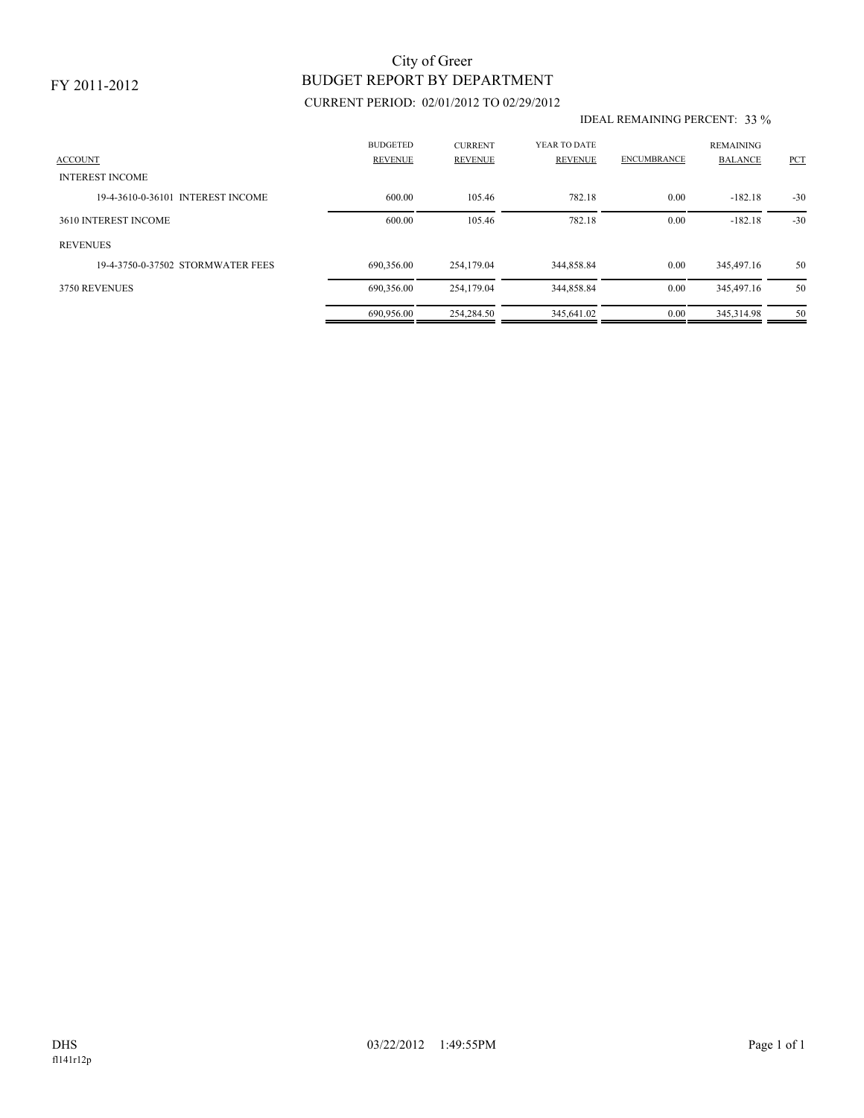### FY 2011-2012

# BUDGET REPORT BY DEPARTMENT City of Greer

## CURRENT PERIOD: 02/01/2012 TO 02/29/2012

#### IDEAL REMAINING PERCENT: 33 %

| <b>ACCOUNT</b>                    | <b>BUDGETED</b><br><b>REVENUE</b> | <b>CURRENT</b><br><b>REVENUE</b> | YEAR TO DATE<br><b>REVENUE</b> | <b>ENCUMBRANCE</b> | <b>REMAINING</b><br><b>BALANCE</b> | PCT   |
|-----------------------------------|-----------------------------------|----------------------------------|--------------------------------|--------------------|------------------------------------|-------|
| <b>INTEREST INCOME</b>            |                                   |                                  |                                |                    |                                    |       |
| 19-4-3610-0-36101 INTEREST INCOME | 600.00                            | 105.46                           | 782.18                         | 0.00               | $-182.18$                          | $-30$ |
| 3610 INTEREST INCOME              | 600.00                            | 105.46                           | 782.18                         | 0.00               | $-182.18$                          | $-30$ |
| <b>REVENUES</b>                   |                                   |                                  |                                |                    |                                    |       |
| 19-4-3750-0-37502 STORMWATER FEES | 690,356.00                        | 254,179.04                       | 344,858.84                     | 0.00               | 345,497.16                         | 50    |
| 3750 REVENUES                     | 690,356.00                        | 254,179.04                       | 344,858.84                     | 0.00               | 345,497.16                         | 50    |
|                                   | 690.956.00                        | 254,284.50                       | 345.641.02                     | 0.00               | 345.314.98                         | 50    |